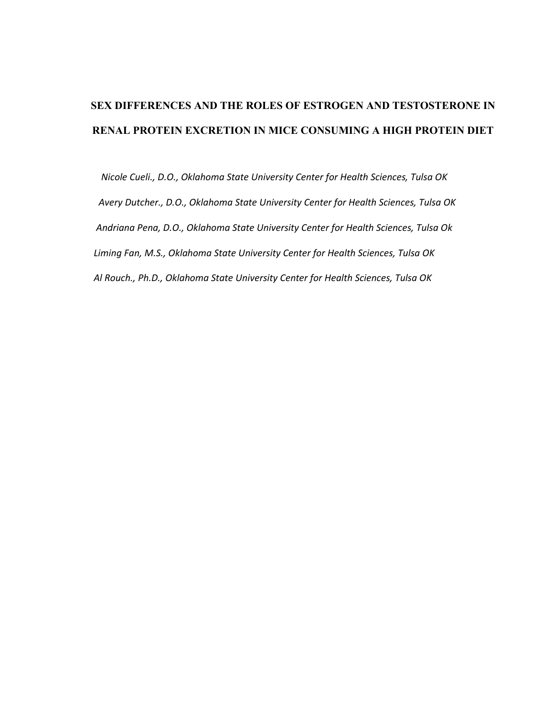# **SEX DIFFERENCES AND THE ROLES OF ESTROGEN AND TESTOSTERONE IN RENAL PROTEIN EXCRETION IN MICE CONSUMING A HIGH PROTEIN DIET**

 *Nicole Cueli., D.O., Oklahoma State University Center for Health Sciences, Tulsa OK Avery Dutcher., D.O., Oklahoma State University Center for Health Sciences, Tulsa OK Andriana Pena, D.O., Oklahoma State University Center for Health Sciences, Tulsa Ok Liming Fan, M.S., Oklahoma State University Center for Health Sciences, Tulsa OK Al Rouch., Ph.D., Oklahoma State University Center for Health Sciences, Tulsa OK*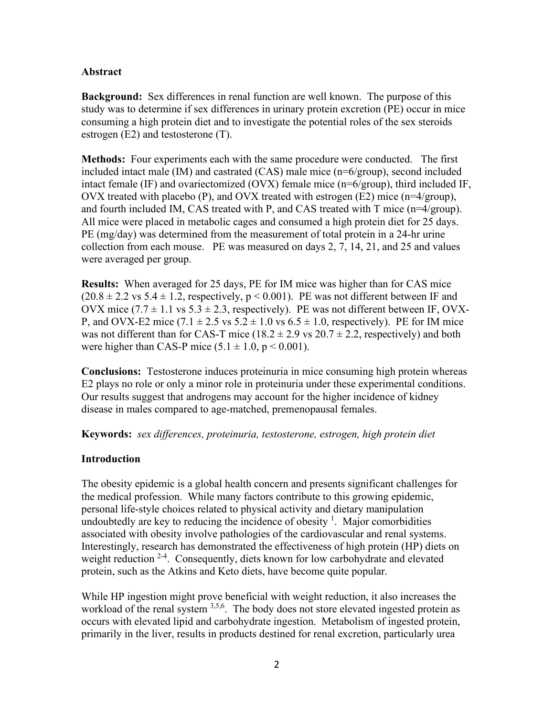## **Abstract**

**Background:** Sex differences in renal function are well known. The purpose of this study was to determine if sex differences in urinary protein excretion (PE) occur in mice consuming a high protein diet and to investigate the potential roles of the sex steroids estrogen (E2) and testosterone (T).

**Methods:** Four experiments each with the same procedure were conducted. The first included intact male (IM) and castrated (CAS) male mice (n=6/group), second included intact female (IF) and ovariectomized (OVX) female mice (n=6/group), third included IF, OVX treated with placebo (P), and OVX treated with estrogen (E2) mice ( $n=4/$ group), and fourth included IM, CAS treated with P, and CAS treated with T mice (n=4/group). All mice were placed in metabolic cages and consumed a high protein diet for 25 days. PE (mg/day) was determined from the measurement of total protein in a 24-hr urine collection from each mouse. PE was measured on days 2, 7, 14, 21, and 25 and values were averaged per group.

**Results:** When averaged for 25 days, PE for IM mice was higher than for CAS mice  $(20.8 \pm 2.2 \text{ vs } 5.4 \pm 1.2,$  respectively,  $p < 0.001$ ). PE was not different between IF and OVX mice  $(7.7 \pm 1.1 \text{ vs } 5.3 \pm 2.3, \text{ respectively})$ . PE was not different between IF, OVX-P, and OVX-E2 mice  $(7.1 \pm 2.5 \text{ vs } 5.2 \pm 1.0 \text{ vs } 6.5 \pm 1.0, \text{ respectively})$ . PE for IM mice was not different than for CAS-T mice ( $18.2 \pm 2.9$  vs  $20.7 \pm 2.2$ , respectively) and both were higher than CAS-P mice  $(5.1 \pm 1.0, p \le 0.001)$ .

**Conclusions:** Testosterone induces proteinuria in mice consuming high protein whereas E2 plays no role or only a minor role in proteinuria under these experimental conditions. Our results suggest that androgens may account for the higher incidence of kidney disease in males compared to age-matched, premenopausal females.

**Keywords:** *sex differences, proteinuria, testosterone, estrogen, high protein diet*

## **Introduction**

The obesity epidemic is a global health concern and presents significant challenges for the medical profession. While many factors contribute to this growing epidemic, personal life-style choices related to physical activity and dietary manipulation undoubtedly are key to reducing the incidence of obesity  $\frac{1}{1}$  $\frac{1}{1}$  $\frac{1}{1}$ . Major comorbidities associated with obesity involve pathologies of the cardiovascular and renal systems. Interestingly, research has demonstrated the effectiveness of high protein (HP) diets on weight reduction <sup>[2-4](#page-9-1)</sup>. Consequently, diets known for low carbohydrate and elevated protein, such as the Atkins and Keto diets, have become quite popular.

While HP ingestion might prove beneficial with weight reduction, it also increases the workload of the renal system <sup>3,[5,](#page-9-3)[6](#page-9-4)</sup>. The body does not store elevated ingested protein as occurs with elevated lipid and carbohydrate ingestion. Metabolism of ingested protein, primarily in the liver, results in products destined for renal excretion, particularly urea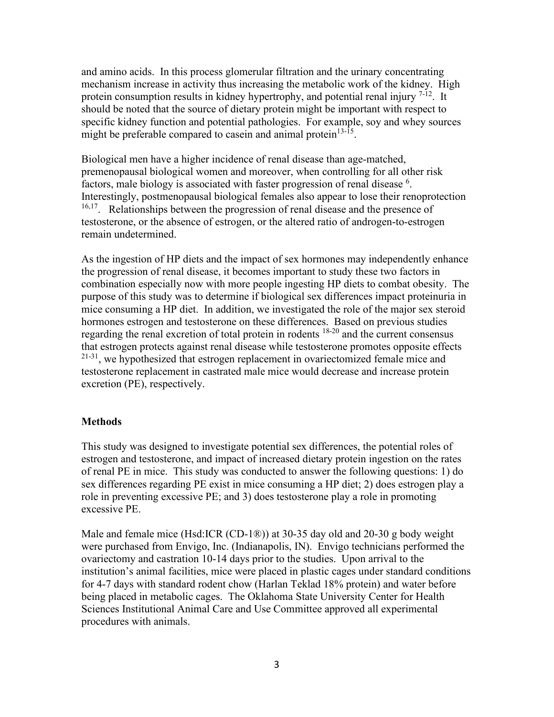and amino acids. In this process glomerular filtration and the urinary concentrating mechanism increase in activity thus increasing the metabolic work of the kidney. High protein consumption results in kidney hypertrophy, and potential renal injury  $7-12$ . It should be noted that the source of dietary protein might be important with respect to specific kidney function and potential pathologies. For example, soy and whey sources might be preferable compared to case in and animal protein $13-15$ .

Biological men have a higher incidence of renal disease than age-matched, premenopausal biological women and moreover, when controlling for all other risk factors, male biology is associated with faster progression of renal disease <sup>[6](#page-9-4)</sup>. Interestingly, postmenopausal biological females also appear to lose their renoprotection <sup>[16](#page-10-1),17</sup>. Relationships between the progression of renal disease and the presence of testosterone, or the absence of estrogen, or the altered ratio of androgen-to-estrogen remain undetermined.

As the ingestion of HP diets and the impact of sex hormones may independently enhance the progression of renal disease, it becomes important to study these two factors in combination especially now with more people ingesting HP diets to combat obesity. The purpose of this study was to determine if biological sex differences impact proteinuria in mice consuming a HP diet. In addition, we investigated the role of the major sex steroid hormones estrogen and testosterone on these differences. Based on previous studies regarding the renal excretion of total protein in rodents [18-20](#page-10-3) and the current consensus that estrogen protects against renal disease while testosterone promotes opposite effects <sup>21-31</sup>, we hypothesized that estrogen replacement in ovariectomized female mice and testosterone replacement in castrated male mice would decrease and increase protein excretion (PE), respectively.

#### **Methods**

This study was designed to investigate potential sex differences, the potential roles of estrogen and testosterone, and impact of increased dietary protein ingestion on the rates of renal PE in mice. This study was conducted to answer the following questions: 1) do sex differences regarding PE exist in mice consuming a HP diet; 2) does estrogen play a role in preventing excessive PE; and 3) does testosterone play a role in promoting excessive PE.

Male and female mice (Hsd:ICR (CD-1®)) at 30-35 day old and 20-30 g body weight were purchased from Envigo, Inc. (Indianapolis, IN). Envigo technicians performed the ovariectomy and castration 10-14 days prior to the studies. Upon arrival to the institution's animal facilities, mice were placed in plastic cages under standard conditions for 4-7 days with standard rodent chow (Harlan Teklad 18% protein) and water before being placed in metabolic cages. The Oklahoma State University Center for Health Sciences Institutional Animal Care and Use Committee approved all experimental procedures with animals.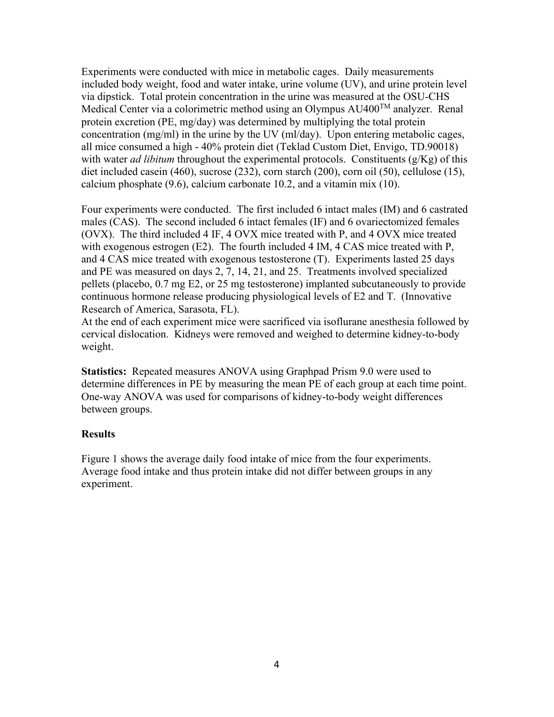Experiments were conducted with mice in metabolic cages. Daily measurements included body weight, food and water intake, urine volume (UV), and urine protein level via dipstick. Total protein concentration in the urine was measured at the OSU-CHS Medical Center via a colorimetric method using an Olympus  $AU400^{TM}$  analyzer. Renal protein excretion (PE, mg/day) was determined by multiplying the total protein concentration (mg/ml) in the urine by the UV (ml/day). Upon entering metabolic cages, all mice consumed a high - 40% protein diet (Teklad Custom Diet, Envigo, TD.90018) with water *ad libitum* throughout the experimental protocols. Constituents (g/Kg) of this diet included casein (460), sucrose (232), corn starch (200), corn oil (50), cellulose (15), calcium phosphate (9.6), calcium carbonate 10.2, and a vitamin mix (10).

Four experiments were conducted. The first included 6 intact males (IM) and 6 castrated males (CAS). The second included 6 intact females (IF) and 6 ovariectomized females (OVX). The third included 4 IF, 4 OVX mice treated with P, and 4 OVX mice treated with exogenous estrogen (E2). The fourth included 4 IM, 4 CAS mice treated with P, and 4 CAS mice treated with exogenous testosterone (T). Experiments lasted 25 days and PE was measured on days 2, 7, 14, 21, and 25. Treatments involved specialized pellets (placebo, 0.7 mg E2, or 25 mg testosterone) implanted subcutaneously to provide continuous hormone release producing physiological levels of E2 and T. (Innovative Research of America, Sarasota, FL).

At the end of each experiment mice were sacrificed via isoflurane anesthesia followed by cervical dislocation. Kidneys were removed and weighed to determine kidney-to-body weight.

**Statistics:** Repeated measures ANOVA using Graphpad Prism 9.0 were used to determine differences in PE by measuring the mean PE of each group at each time point. One-way ANOVA was used for comparisons of kidney-to-body weight differences between groups.

### **Results**

Figure 1 shows the average daily food intake of mice from the four experiments. Average food intake and thus protein intake did not differ between groups in any experiment.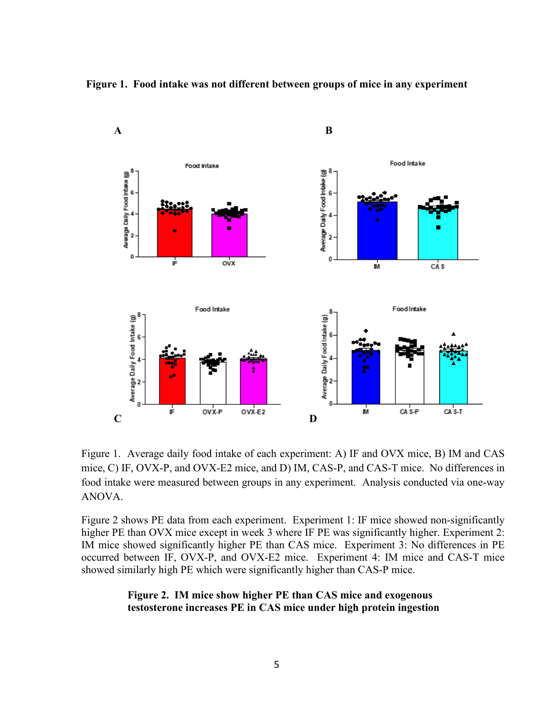



Figure 1. Average daily food intake of each experiment: A) IF and OVX mice, B) IM and CAS mice, C) IF, OVX-P, and OVX-E2 mice, and D) IM, CAS-P, and CAS-T mice. No differences in food intake were measured between groups in any experiment. Analysis conducted via one-way ANOVA.

Figure 2 shows PE data from each experiment. Experiment 1: IF mice showed non-significantly higher PE than OVX mice except in week 3 where IF PE was significantly higher. Experiment 2: IM mice showed significantly higher PE than CAS mice. Experiment 3: No differences in PE occurred between IF, OVX-P, and OVX-E2 mice. Experiment 4: IM mice and CAS-T mice showed similarly high PE which were significantly higher than CAS-P mice.

## **Figure 2. IM mice show higher PE than CAS mice and exogenous testosterone increases PE in CAS mice under high protein ingestion**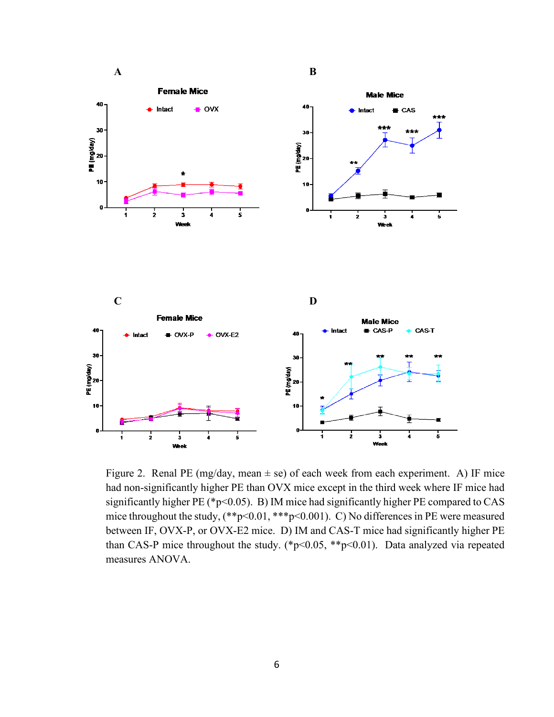

Figure 2. Renal PE (mg/day, mean  $\pm$  se) of each week from each experiment. A) IF mice had non-significantly higher PE than OVX mice except in the third week where IF mice had significantly higher PE (\*p<0.05). B) IM mice had significantly higher PE compared to CAS mice throughout the study,  $(*p<0.01, **p<0.001)$ . C) No differences in PE were measured between IF, OVX-P, or OVX-E2 mice. D) IM and CAS-T mice had significantly higher PE than CAS-P mice throughout the study. (\*p<0.05, \*\*p<0.01). Data analyzed via repeated measures ANOVA.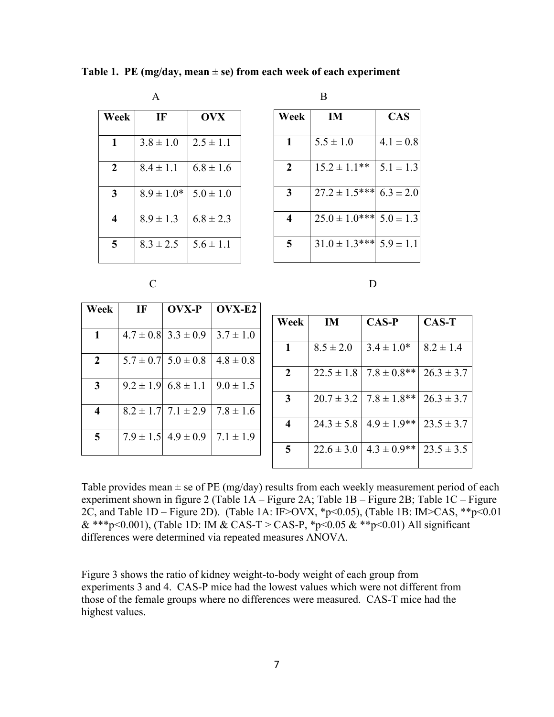|                         | $\mathbf{A}$   |               |              | B    |
|-------------------------|----------------|---------------|--------------|------|
| Week                    | IF             | <b>OVX</b>    | Week         |      |
| 1                       | $3.8 \pm 1.0$  | $2.5 \pm 1.1$ | 1            | 5.5  |
| $\overline{2}$          | $8.4 \pm 1.1$  | $6.8 \pm 1.6$ | $\mathbf{2}$ | 15.2 |
| 3                       | $8.9 \pm 1.0*$ | $5.0 \pm 1.0$ | 3            | 27.2 |
| $\overline{\mathbf{4}}$ | $8.9 \pm 1.3$  | $6.8 \pm 2.3$ | 4            | 25.0 |
| 5                       | $8.3 \pm 2.5$  | $5.6 \pm 1.1$ | 5            | 31.0 |

**Table 1. PE (mg/day, mean**  $\pm$  se) from each week of each experiment

**Week IM CAS**  $5.5 \pm 1.0$   $4.1 \pm 0.8$  1.5.2  $\pm$  1.1<sup>\*\*</sup> 5.1  $\pm$  1.3  $\begin{bmatrix} 27.2 \pm 1.5^{***} \end{bmatrix}$  6.3  $\pm$  2.0  $\begin{array}{|c|c|c|c|c|} \hline 25.0 & \pm 1.0^{***} & 5.0 & \pm 1.3 \\ \hline \end{array}$  $31.0 \pm 1.3$ \*\*\*  $5.9 \pm 1.1$ 

C D

| Week                    | IF | OVX-P                       | OVX-E2        |
|-------------------------|----|-----------------------------|---------------|
|                         |    |                             |               |
| $\mathbf{1}$            |    | $4.7 \pm 0.8$ 3.3 $\pm$ 0.9 | $3.7 \pm 1.0$ |
|                         |    |                             |               |
| $\overline{2}$          |    | $5.7 \pm 0.7$ $5.0 \pm 0.8$ | $4.8 \pm 0.8$ |
| 3                       |    | $9.2 \pm 1.9$ 6.8 $\pm$ 1.1 | $9.0 \pm 1.5$ |
| $\overline{\mathbf{4}}$ |    | $8.2 \pm 1.7$ 7.1 $\pm$ 2.9 | $7.8 \pm 1.6$ |
| 5                       |    | $7.9 \pm 1.5$ 4.9 $\pm$ 0.9 | $7.1 \pm 1.9$ |

| Week         | IM             | $CAS-P$          | <b>CAS-T</b>   |  |  |  |
|--------------|----------------|------------------|----------------|--|--|--|
| 1            | $8.5 \pm 2.0$  | $3.4 \pm 1.0^*$  | $8.2 \pm 1.4$  |  |  |  |
| $\mathbf{2}$ | $22.5 \pm 1.8$ | $7.8 \pm 0.8$ ** | $26.3 \pm 3.7$ |  |  |  |
| 3            | $20.7 \pm 3.2$ | $7.8 \pm 1.8$ ** | $26.3 \pm 3.7$ |  |  |  |
| 4            | $24.3 \pm 5.8$ | $4.9 \pm 1.9$ ** | $23.5 \pm 3.7$ |  |  |  |
| 5            | $22.6 \pm 3.0$ | $4.3 \pm 0.9$ ** | $23.5 \pm 3.5$ |  |  |  |

Table provides mean  $\pm$  se of PE (mg/day) results from each weekly measurement period of each experiment shown in figure 2 (Table 1A – Figure 2A; Table 1B – Figure 2B; Table 1C – Figure 2C, and Table 1D – Figure 2D). (Table 1A: IF>OVX, \*p<0.05), (Table 1B: IM>CAS, \*\*p<0.01 & \*\*\*p<0.001), (Table 1D: IM & CAS-T > CAS-P, \*p<0.05 & \*\*p<0.01) All significant differences were determined via repeated measures ANOVA.

Figure 3 shows the ratio of kidney weight-to-body weight of each group from experiments 3 and 4. CAS-P mice had the lowest values which were not different from those of the female groups where no differences were measured. CAS-T mice had the highest values.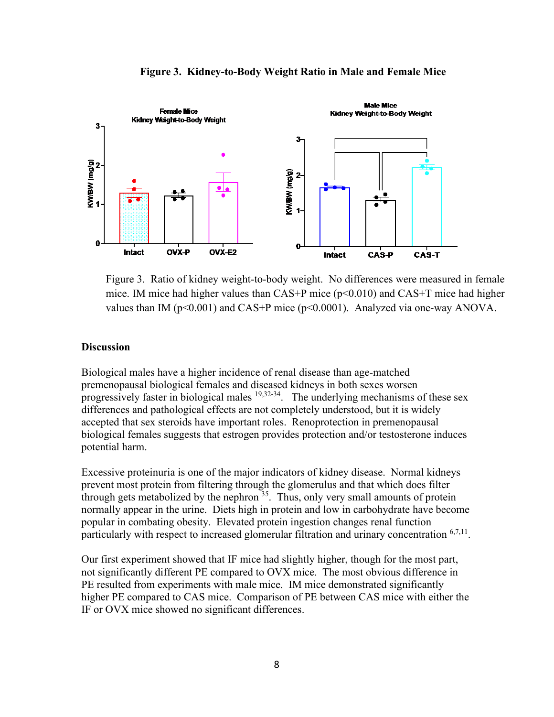

**Figure 3. Kidney-to-Body Weight Ratio in Male and Female Mice**

Figure 3. Ratio of kidney weight-to-body weight. No differences were measured in female mice. IM mice had higher values than  $CAS+P$  mice ( $p<0.010$ ) and  $CAS+T$  mice had higher values than IM ( $p$ <0.001) and CAS+P mice ( $p$ <0.0001). Analyzed via one-way ANOVA.

#### **Discussion**

Biological males have a higher incidence of renal disease than age-matched premenopausal biological females and diseased kidneys in both sexes worsen progressively faster in biological males  $19,32-34$  $19,32-34$ . The underlying mechanisms of these sex differences and pathological effects are not completely understood, but it is widely accepted that sex steroids have important roles. Renoprotection in premenopausal biological females suggests that estrogen provides protection and/or testosterone induces potential harm.

Excessive proteinuria is one of the major indicators of kidney disease. Normal kidneys prevent most protein from filtering through the glomerulus and that which does filter through gets metabolized by the nephron [35.](#page-11-1) Thus, only very small amounts of protein normally appear in the urine. Diets high in protein and low in carbohydrate have become popular in combating obesity. Elevated protein ingestion changes renal function particularly with respect to increased glomerular filtration and urinary concentration  $67,11$  $67,11$ .

Our first experiment showed that IF mice had slightly higher, though for the most part, not significantly different PE compared to OVX mice. The most obvious difference in PE resulted from experiments with male mice. IM mice demonstrated significantly higher PE compared to CAS mice. Comparison of PE between CAS mice with either the IF or OVX mice showed no significant differences.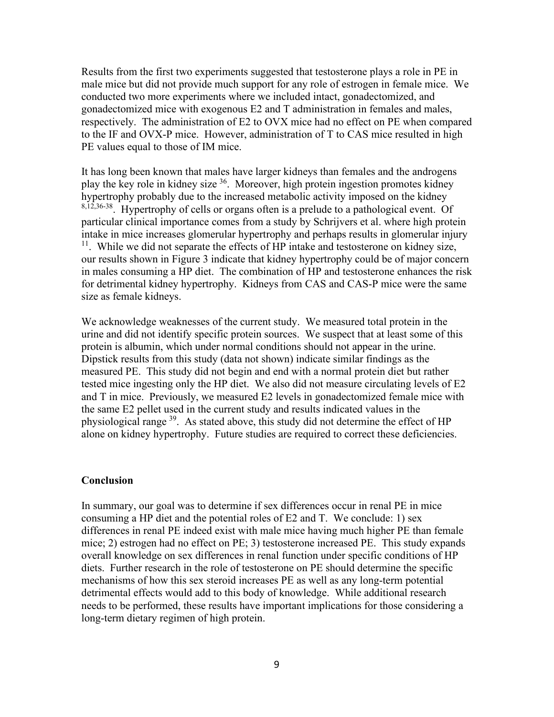Results from the first two experiments suggested that testosterone plays a role in PE in male mice but did not provide much support for any role of estrogen in female mice. We conducted two more experiments where we included intact, gonadectomized, and gonadectomized mice with exogenous E2 and T administration in females and males, respectively. The administration of E2 to OVX mice had no effect on PE when compared to the IF and OVX-P mice. However, administration of T to CAS mice resulted in high PE values equal to those of IM mice.

It has long been known that males have larger kidneys than females and the androgens play the key role in kidney size  $36$ . Moreover, high protein ingestion promotes kidney hypertrophy probably due to the increased metabolic activity imposed on the kidney [8](#page-9-7)[,12](#page-10-6)[,36-38.](#page-11-2) Hypertrophy of cells or organs often is a prelude to a pathological event. Of particular clinical importance comes from a study by Schrijvers et al. where high protein intake in mice increases glomerular hypertrophy and perhaps results in glomerular injury  $11$ . While we did not separate the effects of HP intake and testosterone on kidney size, our results shown in Figure 3 indicate that kidney hypertrophy could be of major concern in males consuming a HP diet. The combination of HP and testosterone enhances the risk for detrimental kidney hypertrophy. Kidneys from CAS and CAS-P mice were the same size as female kidneys.

We acknowledge weaknesses of the current study. We measured total protein in the urine and did not identify specific protein sources. We suspect that at least some of this protein is albumin, which under normal conditions should not appear in the urine. Dipstick results from this study (data not shown) indicate similar findings as the measured PE. This study did not begin and end with a normal protein diet but rather tested mice ingesting only the HP diet. We also did not measure circulating levels of E2 and T in mice. Previously, we measured E2 levels in gonadectomized female mice with the same E2 pellet used in the current study and results indicated values in the physiological range <sup>39</sup>. As stated above, this study did not determine the effect of HP alone on kidney hypertrophy. Future studies are required to correct these deficiencies.

#### **Conclusion**

In summary, our goal was to determine if sex differences occur in renal PE in mice consuming a HP diet and the potential roles of E2 and T. We conclude: 1) sex differences in renal PE indeed exist with male mice having much higher PE than female mice; 2) estrogen had no effect on PE; 3) testosterone increased PE. This study expands overall knowledge on sex differences in renal function under specific conditions of HP diets. Further research in the role of testosterone on PE should determine the specific mechanisms of how this sex steroid increases PE as well as any long-term potential detrimental effects would add to this body of knowledge. While additional research needs to be performed, these results have important implications for those considering a long-term dietary regimen of high protein.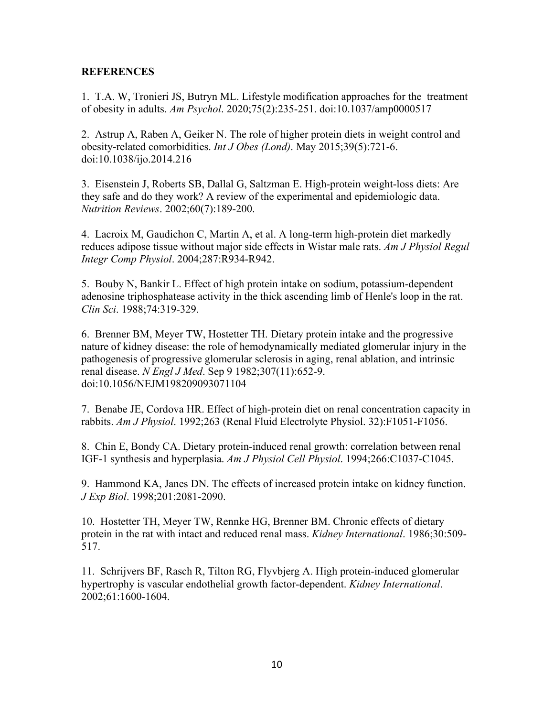## **REFERENCES**

<span id="page-9-0"></span>1. T.A. W, Tronieri JS, Butryn ML. Lifestyle modification approaches for the treatment of obesity in adults. *Am Psychol*. 2020;75(2):235-251. doi:10.1037/amp0000517

<span id="page-9-1"></span>2. Astrup A, Raben A, Geiker N. The role of higher protein diets in weight control and obesity-related comorbidities. *Int J Obes (Lond)*. May 2015;39(5):721-6. doi:10.1038/ijo.2014.216

<span id="page-9-2"></span>3. Eisenstein J, Roberts SB, Dallal G, Saltzman E. High-protein weight-loss diets: Are they safe and do they work? A review of the experimental and epidemiologic data. *Nutrition Reviews*. 2002;60(7):189-200.

4. Lacroix M, Gaudichon C, Martin A, et al. A long-term high-protein diet markedly reduces adipose tissue without major side effects in Wistar male rats. *Am J Physiol Regul Integr Comp Physiol*. 2004;287:R934-R942.

<span id="page-9-3"></span>5. Bouby N, Bankir L. Effect of high protein intake on sodium, potassium-dependent adenosine triphosphatease activity in the thick ascending limb of Henle's loop in the rat. *Clin Sci*. 1988;74:319-329.

<span id="page-9-4"></span>6. Brenner BM, Meyer TW, Hostetter TH. Dietary protein intake and the progressive nature of kidney disease: the role of hemodynamically mediated glomerular injury in the pathogenesis of progressive glomerular sclerosis in aging, renal ablation, and intrinsic renal disease. *N Engl J Med*. Sep 9 1982;307(11):652-9. doi:10.1056/NEJM198209093071104

<span id="page-9-5"></span>7. Benabe JE, Cordova HR. Effect of high-protein diet on renal concentration capacity in rabbits. *Am J Physiol*. 1992;263 (Renal Fluid Electrolyte Physiol. 32):F1051-F1056.

<span id="page-9-7"></span>8. Chin E, Bondy CA. Dietary protein-induced renal growth: correlation between renal IGF-1 synthesis and hyperplasia. *Am J Physiol Cell Physiol*. 1994;266:C1037-C1045.

9. Hammond KA, Janes DN. The effects of increased protein intake on kidney function. *J Exp Biol*. 1998;201:2081-2090.

10. Hostetter TH, Meyer TW, Rennke HG, Brenner BM. Chronic effects of dietary protein in the rat with intact and reduced renal mass. *Kidney International*. 1986;30:509- 517.

<span id="page-9-6"></span>11. Schrijvers BF, Rasch R, Tilton RG, Flyvbjerg A. High protein-induced glomerular hypertrophy is vascular endothelial growth factor-dependent. *Kidney International*. 2002;61:1600-1604.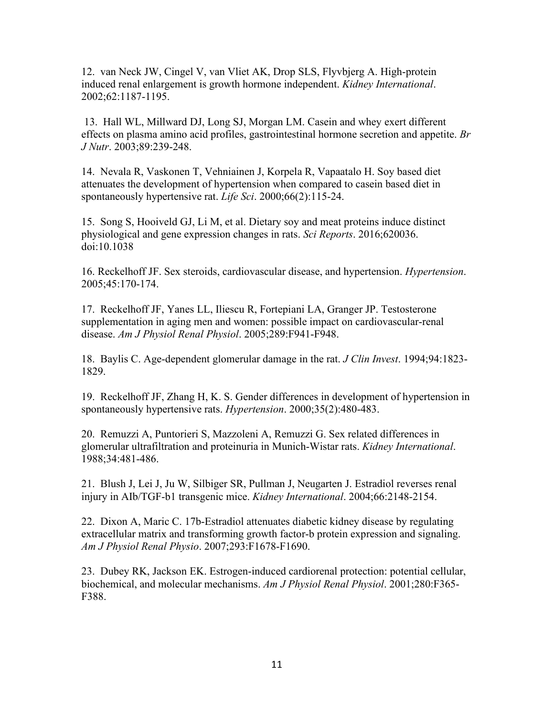<span id="page-10-6"></span>12. van Neck JW, Cingel V, van Vliet AK, Drop SLS, Flyvbjerg A. High-protein induced renal enlargement is growth hormone independent. *Kidney International*. 2002;62:1187-1195.

<span id="page-10-0"></span>13. Hall WL, Millward DJ, Long SJ, Morgan LM. Casein and whey exert different effects on plasma amino acid profiles, gastrointestinal hormone secretion and appetite. *Br J Nutr*. 2003;89:239-248.

14. Nevala R, Vaskonen T, Vehniainen J, Korpela R, Vapaatalo H. Soy based diet attenuates the development of hypertension when compared to casein based diet in spontaneously hypertensive rat. *Life Sci*. 2000;66(2):115-24.

15. Song S, Hooiveld GJ, Li M, et al. Dietary soy and meat proteins induce distinct physiological and gene expression changes in rats. *Sci Reports*. 2016;620036. doi:10.1038

<span id="page-10-1"></span>16. Reckelhoff JF. Sex steroids, cardiovascular disease, and hypertension. *Hypertension*. 2005;45:170-174.

<span id="page-10-2"></span>17. Reckelhoff JF, Yanes LL, Iliescu R, Fortepiani LA, Granger JP. Testosterone supplementation in aging men and women: possible impact on cardiovascular-renal disease. *Am J Physiol Renal Physiol*. 2005;289:F941-F948.

<span id="page-10-3"></span>18. Baylis C. Age-dependent glomerular damage in the rat. *J Clin Invest*. 1994;94:1823- 1829.

<span id="page-10-5"></span>19. Reckelhoff JF, Zhang H, K. S. Gender differences in development of hypertension in spontaneously hypertensive rats. *Hypertension*. 2000;35(2):480-483.

20. Remuzzi A, Puntorieri S, Mazzoleni A, Remuzzi G. Sex related differences in glomerular ultrafiltration and proteinuria in Munich-Wistar rats. *Kidney International*. 1988;34:481-486.

<span id="page-10-4"></span>21. Blush J, Lei J, Ju W, Silbiger SR, Pullman J, Neugarten J. Estradiol reverses renal injury in AIb/TGF-b1 transgenic mice. *Kidney International*. 2004;66:2148-2154.

22. Dixon A, Maric C. 17b-Estradiol attenuates diabetic kidney disease by regulating extracellular matrix and transforming growth factor-b protein expression and signaling. *Am J Physiol Renal Physio*. 2007;293:F1678-F1690.

23. Dubey RK, Jackson EK. Estrogen-induced cardiorenal protection: potential cellular, biochemical, and molecular mechanisms. *Am J Physiol Renal Physiol*. 2001;280:F365- F388.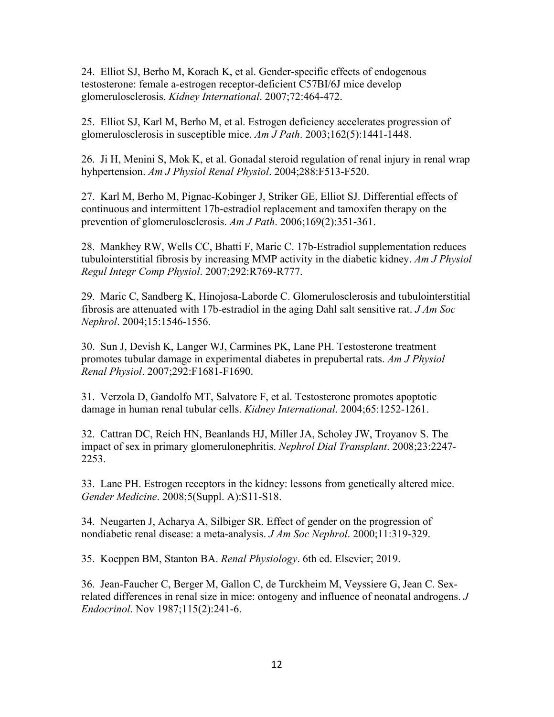24. Elliot SJ, Berho M, Korach K, et al. Gender-specific effects of endogenous testosterone: female a-estrogen receptor-deficient C57BI/6J mice develop glomerulosclerosis. *Kidney International*. 2007;72:464-472.

25. Elliot SJ, Karl M, Berho M, et al. Estrogen deficiency accelerates progression of glomerulosclerosis in susceptible mice. *Am J Path*. 2003;162(5):1441-1448.

26. Ji H, Menini S, Mok K, et al. Gonadal steroid regulation of renal injury in renal wrap hyhpertension. *Am J Physiol Renal Physiol*. 2004;288:F513-F520.

27. Karl M, Berho M, Pignac-Kobinger J, Striker GE, Elliot SJ. Differential effects of continuous and intermittent 17b-estradiol replacement and tamoxifen therapy on the prevention of glomerulosclerosis. *Am J Path*. 2006;169(2):351-361.

28. Mankhey RW, Wells CC, Bhatti F, Maric C. 17b-Estradiol supplementation reduces tubulointerstitial fibrosis by increasing MMP activity in the diabetic kidney. *Am J Physiol Regul Integr Comp Physiol*. 2007;292:R769-R777.

29. Maric C, Sandberg K, Hinojosa-Laborde C. Glomerulosclerosis and tubulointerstitial fibrosis are attenuated with 17b-estradiol in the aging Dahl salt sensitive rat. *J Am Soc Nephrol*. 2004;15:1546-1556.

30. Sun J, Devish K, Langer WJ, Carmines PK, Lane PH. Testosterone treatment promotes tubular damage in experimental diabetes in prepubertal rats. *Am J Physiol Renal Physiol*. 2007;292:F1681-F1690.

31. Verzola D, Gandolfo MT, Salvatore F, et al. Testosterone promotes apoptotic damage in human renal tubular cells. *Kidney International*. 2004;65:1252-1261.

<span id="page-11-0"></span>32. Cattran DC, Reich HN, Beanlands HJ, Miller JA, Scholey JW, Troyanov S. The impact of sex in primary glomerulonephritis. *Nephrol Dial Transplant*. 2008;23:2247- 2253.

33. Lane PH. Estrogen receptors in the kidney: lessons from genetically altered mice. *Gender Medicine*. 2008;5(Suppl. A):S11-S18.

34. Neugarten J, Acharya A, Silbiger SR. Effect of gender on the progression of nondiabetic renal disease: a meta-analysis. *J Am Soc Nephrol*. 2000;11:319-329.

<span id="page-11-1"></span>35. Koeppen BM, Stanton BA. *Renal Physiology*. 6th ed. Elsevier; 2019.

<span id="page-11-2"></span>36. Jean-Faucher C, Berger M, Gallon C, de Turckheim M, Veyssiere G, Jean C. Sexrelated differences in renal size in mice: ontogeny and influence of neonatal androgens. *J Endocrinol*. Nov 1987;115(2):241-6.